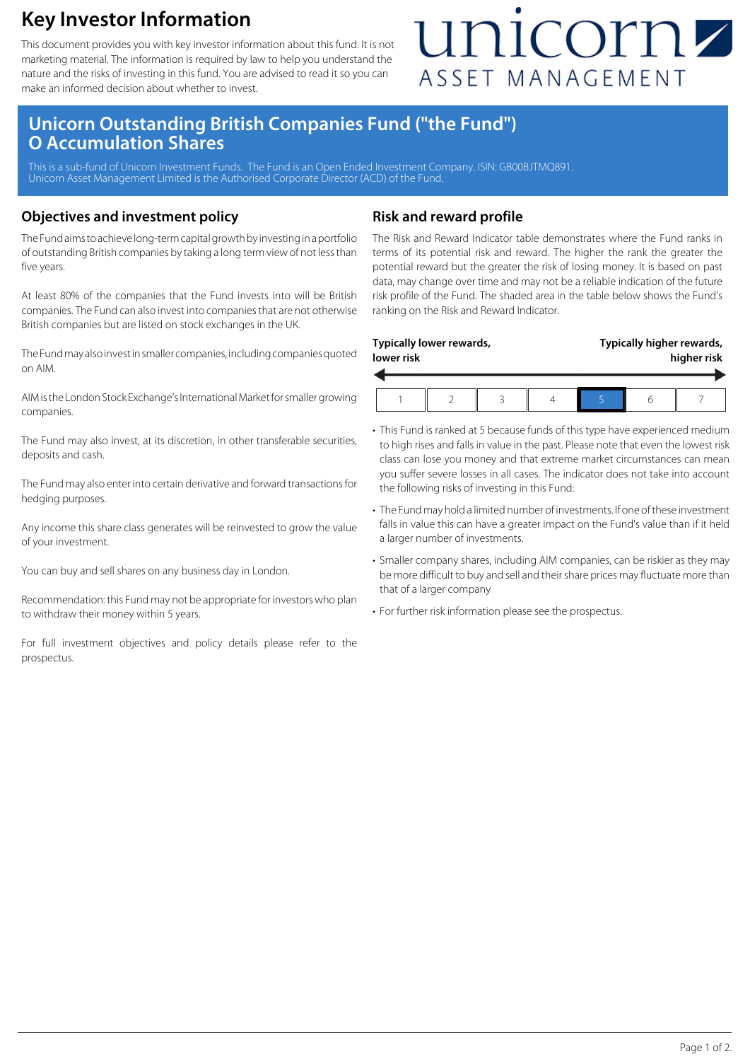## **Key Investor Information**

This document provides you with key investor information about this fund. It is not marketing material. The information is required by law to help you understand the nature and the risks of investing in this fund. You are advised to read it so you can make an informed decision about whether to invest.

# unicornz ASSET MANAGEMENT

### **Unicorn Outstanding British Companies Fund ("the Fund") O Accumulation Shares**

This is a sub-fund of Unicorn Investment Funds. The Fund is an Open Ended Investment Company. ISIN: GB00BJTMQ891 Unicorn Asset Management Limited is the Authorised Corporate Director (ACD) of the Fund.

#### **Objectives and investment policy**

The Fund aims to achieve long-term capital growth by investing in a portfolio of outstanding British companies by taking a long term view of not less than five years.

At least 80% of the companies that the Fund invests into will be British companies. The Fund can also invest into companies that are not otherwise British companies but are listed on stock exchanges in the UK.

The Fund may also invest in smaller companies, including companies quoted on AIM.

AIM is the London Stock Exchange's International Market for smaller growing companies.

The Fund may also invest, at its discretion, in other transferable securities, deposits and cash.

The Fund may also enter into certain derivative and forward transactions for hedging purposes.

Any income this share class generates will be reinvested to grow the value of your investment.

You can buy and sell shares on any business day in London.

Recommendation: this Fund may not be appropriate for investors who plan to withdraw their money within 5 years.

For full investment objectives and policy details please refer to the prospectus.

#### **Risk and reward profile**

The Risk and Reward Indicator table demonstrates where the Fund ranks in terms of its potential risk and reward. The higher the rank the greater the potential reward but the greater the risk of losing money. It is based on past data, may change over time and may not be a reliable indication of the future risk profile of the Fund. The shaded area in the table below shows the Fund's ranking on the Risk and Reward Indicator.

| lower risk | Typically lower rewards, |  | Typically higher rewards,<br>higher risk |  |  |
|------------|--------------------------|--|------------------------------------------|--|--|
|            |                          |  |                                          |  |  |

- This Fund is ranked at 5 because funds of this type have experienced medium to high rises and falls in value in the past. Please note that even the lowest risk class can lose you money and that extreme market circumstances can mean you suffer severe losses in all cases. The indicator does not take into account the following risks of investing in this Fund:
- The Fund may hold a limited number of investments. If one of these investment falls in value this can have a greater impact on the Fund's value than if it held a larger number of investments.
- Smaller company shares, including AIM companies, can be riskier as they may be more difficult to buy and sell and their share prices may fluctuate more than that of a larger company
- For further risk information please see the prospectus.